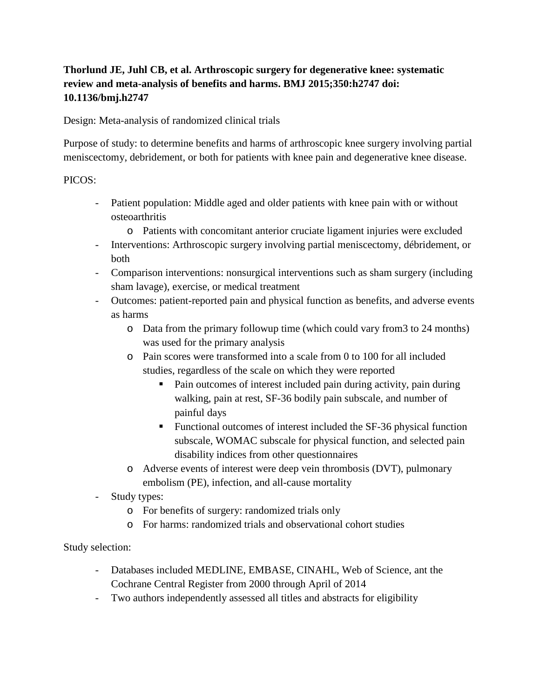# **Thorlund JE, Juhl CB, et al. Arthroscopic surgery for degenerative knee: systematic review and meta-analysis of benefits and harms. BMJ 2015;350:h2747 doi: 10.1136/bmj.h2747**

Design: Meta-analysis of randomized clinical trials

Purpose of study: to determine benefits and harms of arthroscopic knee surgery involving partial meniscectomy, debridement, or both for patients with knee pain and degenerative knee disease.

### PICOS:

- Patient population: Middle aged and older patients with knee pain with or without osteoarthritis
	- o Patients with concomitant anterior cruciate ligament injuries were excluded
- Interventions: Arthroscopic surgery involving partial meniscectomy, débridement, or both
- Comparison interventions: nonsurgical interventions such as sham surgery (including sham lavage), exercise, or medical treatment
- Outcomes: patient-reported pain and physical function as benefits, and adverse events as harms
	- o Data from the primary followup time (which could vary from3 to 24 months) was used for the primary analysis
	- o Pain scores were transformed into a scale from 0 to 100 for all included studies, regardless of the scale on which they were reported
		- Pain outcomes of interest included pain during activity, pain during walking, pain at rest, SF-36 bodily pain subscale, and number of painful days
		- **Functional outcomes of interest included the SF-36 physical function** subscale, WOMAC subscale for physical function, and selected pain disability indices from other questionnaires
	- o Adverse events of interest were deep vein thrombosis (DVT), pulmonary embolism (PE), infection, and all-cause mortality
- Study types:
	- o For benefits of surgery: randomized trials only
	- o For harms: randomized trials and observational cohort studies

## Study selection:

- Databases included MEDLINE, EMBASE, CINAHL, Web of Science, ant the Cochrane Central Register from 2000 through April of 2014
- Two authors independently assessed all titles and abstracts for eligibility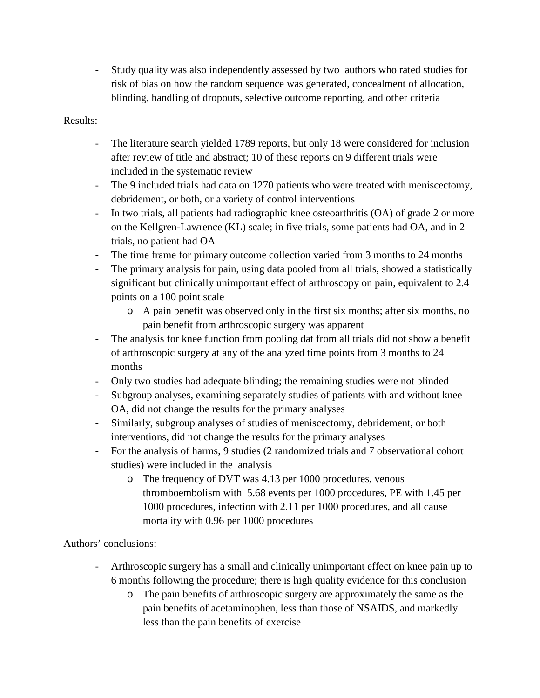- Study quality was also independently assessed by two authors who rated studies for risk of bias on how the random sequence was generated, concealment of allocation, blinding, handling of dropouts, selective outcome reporting, and other criteria

#### Results:

- The literature search yielded 1789 reports, but only 18 were considered for inclusion after review of title and abstract; 10 of these reports on 9 different trials were included in the systematic review
- The 9 included trials had data on 1270 patients who were treated with meniscectomy, debridement, or both, or a variety of control interventions
- In two trials, all patients had radiographic knee osteoarthritis (OA) of grade 2 or more on the Kellgren-Lawrence (KL) scale; in five trials, some patients had OA, and in 2 trials, no patient had OA
- The time frame for primary outcome collection varied from 3 months to 24 months
- The primary analysis for pain, using data pooled from all trials, showed a statistically significant but clinically unimportant effect of arthroscopy on pain, equivalent to 2.4 points on a 100 point scale
	- o A pain benefit was observed only in the first six months; after six months, no pain benefit from arthroscopic surgery was apparent
- The analysis for knee function from pooling dat from all trials did not show a benefit of arthroscopic surgery at any of the analyzed time points from 3 months to 24 months
- Only two studies had adequate blinding; the remaining studies were not blinded
- Subgroup analyses, examining separately studies of patients with and without knee OA, did not change the results for the primary analyses
- Similarly, subgroup analyses of studies of meniscectomy, debridement, or both interventions, did not change the results for the primary analyses
- For the analysis of harms, 9 studies (2 randomized trials and 7 observational cohort studies) were included in the analysis
	- o The frequency of DVT was 4.13 per 1000 procedures, venous thromboembolism with 5.68 events per 1000 procedures, PE with 1.45 per 1000 procedures, infection with 2.11 per 1000 procedures, and all cause mortality with 0.96 per 1000 procedures

## Authors' conclusions:

- Arthroscopic surgery has a small and clinically unimportant effect on knee pain up to 6 months following the procedure; there is high quality evidence for this conclusion
	- o The pain benefits of arthroscopic surgery are approximately the same as the pain benefits of acetaminophen, less than those of NSAIDS, and markedly less than the pain benefits of exercise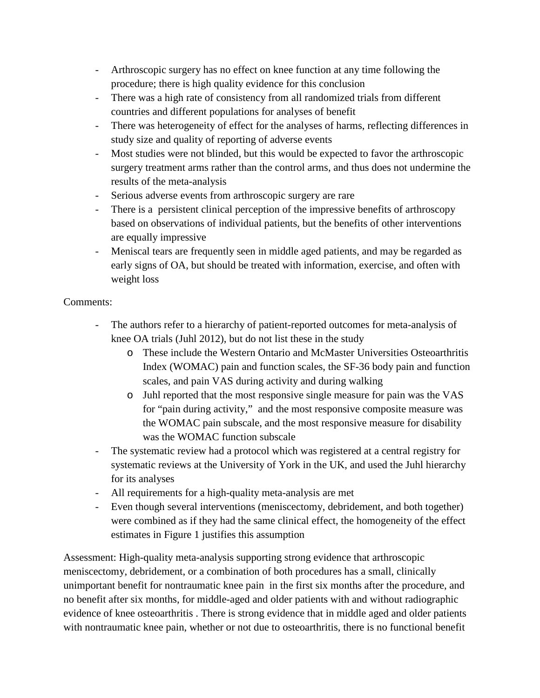- Arthroscopic surgery has no effect on knee function at any time following the procedure; there is high quality evidence for this conclusion
- There was a high rate of consistency from all randomized trials from different countries and different populations for analyses of benefit
- There was heterogeneity of effect for the analyses of harms, reflecting differences in study size and quality of reporting of adverse events
- Most studies were not blinded, but this would be expected to favor the arthroscopic surgery treatment arms rather than the control arms, and thus does not undermine the results of the meta-analysis
- Serious adverse events from arthroscopic surgery are rare
- There is a persistent clinical perception of the impressive benefits of arthroscopy based on observations of individual patients, but the benefits of other interventions are equally impressive
- Meniscal tears are frequently seen in middle aged patients, and may be regarded as early signs of OA, but should be treated with information, exercise, and often with weight loss

#### Comments:

- The authors refer to a hierarchy of patient-reported outcomes for meta-analysis of knee OA trials (Juhl 2012), but do not list these in the study
	- o These include the Western Ontario and McMaster Universities Osteoarthritis Index (WOMAC) pain and function scales, the SF-36 body pain and function scales, and pain VAS during activity and during walking
	- o Juhl reported that the most responsive single measure for pain was the VAS for "pain during activity," and the most responsive composite measure was the WOMAC pain subscale, and the most responsive measure for disability was the WOMAC function subscale
- The systematic review had a protocol which was registered at a central registry for systematic reviews at the University of York in the UK, and used the Juhl hierarchy for its analyses
- All requirements for a high-quality meta-analysis are met
- Even though several interventions (meniscectomy, debridement, and both together) were combined as if they had the same clinical effect, the homogeneity of the effect estimates in Figure 1 justifies this assumption

Assessment: High-quality meta-analysis supporting strong evidence that arthroscopic meniscectomy, debridement, or a combination of both procedures has a small, clinically unimportant benefit for nontraumatic knee pain in the first six months after the procedure, and no benefit after six months, for middle-aged and older patients with and without radiographic evidence of knee osteoarthritis . There is strong evidence that in middle aged and older patients with nontraumatic knee pain, whether or not due to osteoarthritis, there is no functional benefit